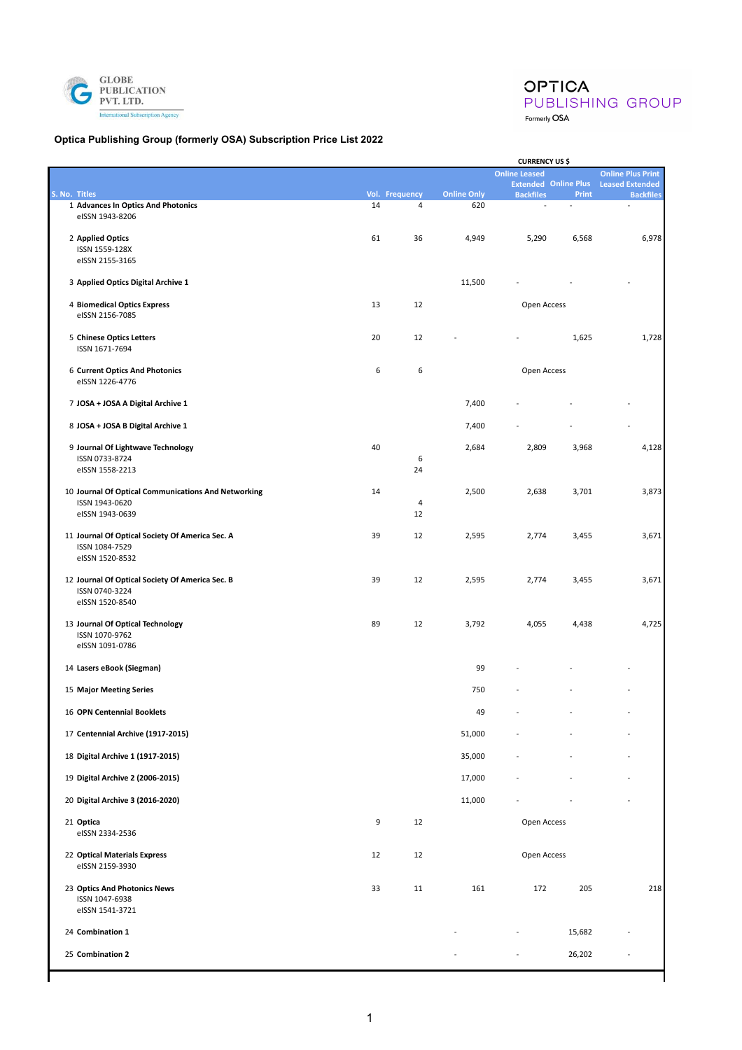

## **Optica Publishing Group (formerly OSA) Subscription Price List 2022**

## **CURRENCY US \$ S. No. Titles Vol. Frequency Online Only Online Leased Extended Online Plus Backfiles Print Online Plus Print Leased Extende Backfile** 1 **Advances In Optics And Photonics** 14 520 eISSN 1943-8206 2 **Applied Optics** 61 36 4,949 5,290 6,568 6,978 ISSN 1559-128X eISSN 2155-3165 3 **Applied Optics Digital Archive 1** 11,500 4 **Biomedical Optics Express** 13 12 Open Access eISSN 2156-7085 5 **Chinese Optics Letters** 20 12 - - 1,625 1,728 ISSN 1671-7694 6 **Current Optics And Photonics** 6 6 Open Access eISSN 1226-4776 7 **JOSA + JOSA A Digital Archive 1** 7,400 - - - 8 **JOSA + JOSA B Digital Archive 1** 7,400 9 **Journal Of Lightwave Technology** 40 2,684 2,809 3,968 4,128 ISSN 0733-8724 6<br>
eISSN 1558-2213 24<br>
24 eISSN 1558-2213 10 **Journal Of Optical Communications And Networking** 14 2,500 2,638 3,701 3,873 ISSN 1943-0620 4 eISSN 1943-0639 11 **Journal Of Optical Society Of America Sec. A** 39 12 2,595 2,774 3,455 3,671 ISSN 1084-7529 eISSN 1520-8532 12 **Journal Of Optical Society Of America Sec. B** 39 12 2,595 2,774 3,455 3,671 ISSN 0740-3224 eISSN 1520-8540 13 **Journal Of Optical Technology** 89 12 3,792 4,055 4,438 4,725 ISSN 1070-9762 eISSN 1091-0786 14 **Lasers eBook (Siegman)** 99 - - - 15 **Major Meeting Series** 750 - - - 16 **OPN Centennial Booklets** 49 17 **Centennial Archive (1917-2015)** 51,000 - - - 18 **Digital Archive 1 (1917-2015)** 35,000 - - - 19 **Digital Archive 2 (2006-2015)** 17,000 - - - 20 **Digital Archive 3 (2016-2020)** 11,000 - - - 21 **Optica** 9 12 Open Access eISSN 2334-2536 22 **Optical Materials Express** 12 12 Open Access eISSN 2159-3930 23 Optics And Photonics News<br>
23 Optics And Photonics News<br>
218 ISSN 1047-6938 eISSN 1541-3721 24 **Combination 1** and 15,682 - 15,682 - 15,682 - 15,682 - 15,682 - 15,682 - 15,682 - 15,682 - 15,682 - 15,682 - 15,682 - 15,682 - 15,682 - 15,682 - 15,682 - 15,682 - 15,682 - 15,682 - 15,682 - 15,682 - 15,682 - 15,682 - 1 25 **Combination 2** 25,202 - 25,202 25 26,202 25 26,202 25 26,202 25 26,202 26,202 26,202 26,202 26,202 26,202 26,202

**OPTICA** 

Formerly OSA

PUBLISHING GROUP